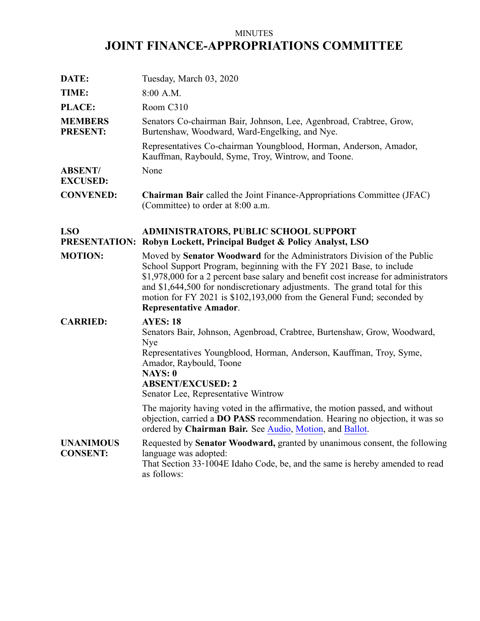# MINUTES **JOINT FINANCE-APPROPRIATIONS COMMITTEE**

| DATE:                               | Tuesday, March 03, 2020                                                                                                                                                                                                                                                                                                                                                                                                         |
|-------------------------------------|---------------------------------------------------------------------------------------------------------------------------------------------------------------------------------------------------------------------------------------------------------------------------------------------------------------------------------------------------------------------------------------------------------------------------------|
| TIME:                               | 8:00 A.M.                                                                                                                                                                                                                                                                                                                                                                                                                       |
| PLACE:                              | Room C310                                                                                                                                                                                                                                                                                                                                                                                                                       |
| <b>MEMBERS</b><br><b>PRESENT:</b>   | Senators Co-chairman Bair, Johnson, Lee, Agenbroad, Crabtree, Grow,<br>Burtenshaw, Woodward, Ward-Engelking, and Nye.                                                                                                                                                                                                                                                                                                           |
|                                     | Representatives Co-chairman Youngblood, Horman, Anderson, Amador,<br>Kauffman, Raybould, Syme, Troy, Wintrow, and Toone.                                                                                                                                                                                                                                                                                                        |
| <b>ABSENT/</b><br><b>EXCUSED:</b>   | None                                                                                                                                                                                                                                                                                                                                                                                                                            |
| <b>CONVENED:</b>                    | <b>Chairman Bair</b> called the Joint Finance-Appropriations Committee (JFAC)<br>(Committee) to order at 8:00 a.m.                                                                                                                                                                                                                                                                                                              |
| <b>LSO</b>                          | <b>ADMINISTRATORS, PUBLIC SCHOOL SUPPORT</b><br><b>PRESENTATION: Robyn Lockett, Principal Budget &amp; Policy Analyst, LSO</b>                                                                                                                                                                                                                                                                                                  |
| <b>MOTION:</b>                      | Moved by Senator Woodward for the Administrators Division of the Public<br>School Support Program, beginning with the FY 2021 Base, to include<br>\$1,978,000 for a 2 percent base salary and benefit cost increase for administrators<br>and \$1,644,500 for nondiscretionary adjustments. The grand total for this<br>motion for FY 2021 is \$102,193,000 from the General Fund; seconded by<br><b>Representative Amador.</b> |
| <b>CARRIED:</b>                     | <b>AYES: 18</b><br>Senators Bair, Johnson, Agenbroad, Crabtree, Burtenshaw, Grow, Woodward,<br>Nye<br>Representatives Youngblood, Horman, Anderson, Kauffman, Troy, Syme,<br>Amador, Raybould, Toone<br><b>NAYS: 0</b><br><b>ABSENT/EXCUSED: 2</b><br>Senator Lee, Representative Wintrow                                                                                                                                       |
|                                     | The majority having voted in the affirmative, the motion passed, and without<br>objection, carried a DO PASS recommendation. Hearing no objection, it was so<br>ordered by Chairman Bair. See Audio, Motion, and Ballot.                                                                                                                                                                                                        |
| <b>UNANIMOUS</b><br><b>CONSENT:</b> | Requested by Senator Woodward, granted by unanimous consent, the following<br>language was adopted:<br>That Section 33-1004E Idaho Code, be, and the same is hereby amended to read<br>as follows:                                                                                                                                                                                                                              |
|                                     |                                                                                                                                                                                                                                                                                                                                                                                                                                 |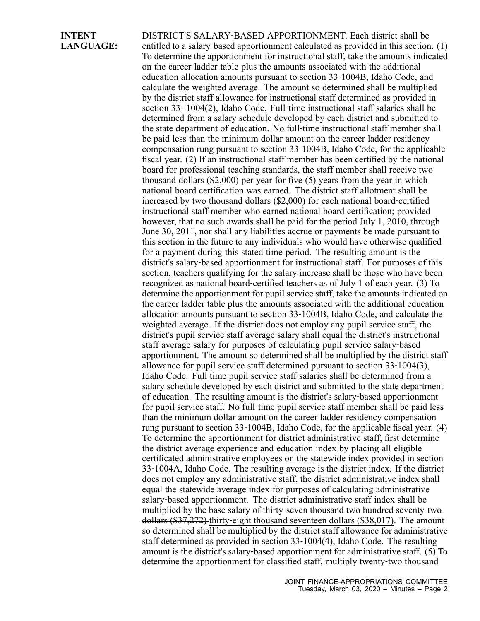#### **INTENT LANGUAGE:**

DISTRICT'S SALARY‐BASED APPORTIONMENT. Each district shall be entitled to a salary-based apportionment calculated as provided in this section. (1) To determine the apportionment for instructional staff, take the amounts indicated on the career ladder table plus the amounts associated with the additional education allocation amounts pursuan<sup>t</sup> to section 33‐1004B, Idaho Code, and calculate the weighted average. The amount so determined shall be multiplied by the district staff allowance for instructional staff determined as provided in section 33‐ 1004(2), Idaho Code. Full‐time instructional staff salaries shall be determined from <sup>a</sup> salary schedule developed by each district and submitted to the state department of education. No full‐time instructional staff member shall be paid less than the minimum dollar amount on the career ladder residency compensation rung pursuan<sup>t</sup> to section 33‐1004B, Idaho Code, for the applicable fiscal year. (2) If an instructional staff member has been certified by the national board for professional teaching standards, the staff member shall receive two thousand dollars (\$2,000) per year for five (5) years from the year in which national board certification was earned. The district staff allotment shall be increased by two thousand dollars (\$2,000) for each national board‐certified instructional staff member who earned national board certification; provided however, that no such awards shall be paid for the period July 1, 2010, through June 30, 2011, nor shall any liabilities accrue or payments be made pursuan<sup>t</sup> to this section in the future to any individuals who would have otherwise qualified for <sup>a</sup> paymen<sup>t</sup> during this stated time period. The resulting amount is the district's salary‐based apportionment for instructional staff. For purposes of this section, teachers qualifying for the salary increase shall be those who have been recognized as national board‐certified teachers as of July 1 of each year. (3) To determine the apportionment for pupil service staff, take the amounts indicated on the career ladder table plus the amounts associated with the additional education allocation amounts pursuan<sup>t</sup> to section 33‐1004B, Idaho Code, and calculate the weighted average. If the district does not employ any pupil service staff, the district's pupil service staff average salary shall equal the district's instructional staff average salary for purposes of calculating pupil service salary‐based apportionment. The amount so determined shall be multiplied by the district staff allowance for pupil service staff determined pursuan<sup>t</sup> to section 33‐1004(3), Idaho Code. Full time pupil service staff salaries shall be determined from <sup>a</sup> salary schedule developed by each district and submitted to the state department of education. The resulting amount is the district's salary‐based apportionment for pupil service staff. No full-time pupil service staff member shall be paid less than the minimum dollar amount on the career ladder residency compensation rung pursuan<sup>t</sup> to section 33‐1004B, Idaho Code, for the applicable fiscal year. (4) To determine the apportionment for district administrative staff, first determine the district average experience and education index by placing all eligible certificated administrative employees on the statewide index provided in section 33‐1004A, Idaho Code. The resulting average is the district index. If the district does not employ any administrative staff, the district administrative index shall equal the statewide average index for purposes of calculating administrative salary-based apportionment. The district administrative staff index shall be multiplied by the base salary of thirty-seven thousand two hundred seventy-two dollars (\$37,272) thirty‐eight thousand seventeen dollars (\$38,017). The amount so determined shall be multiplied by the district staff allowance for administrative staff determined as provided in section 33‐1004(4), Idaho Code. The resulting amount is the district's salary‐based apportionment for administrative staff. (5) To determine the apportionment for classified staff, multiply twenty‐two thousand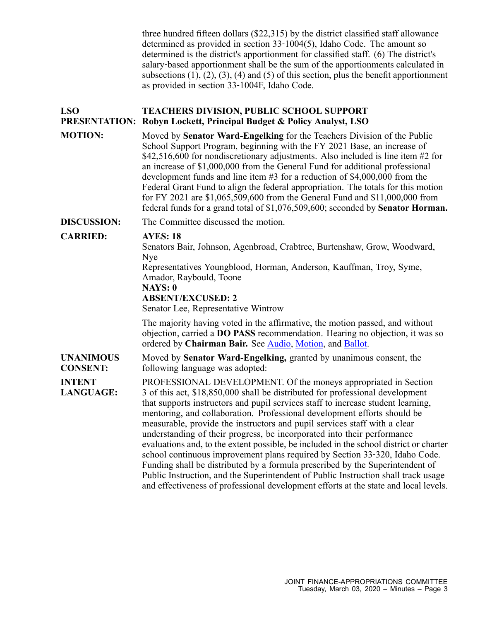three hundred fifteen dollars (\$22,315) by the district classified staff allowance determined as provided in section 33‐1004(5), Idaho Code. The amount so determined is the district's apportionment for classified staff. (6) The district's salary‐based apportionment shall be the sum of the apportionments calculated in subsections  $(1)$ ,  $(2)$ ,  $(3)$ ,  $(4)$  and  $(5)$  of this section, plus the benefit apportionment as provided in section 33‐1004F, Idaho Code.

#### **LSO PRESENTATION: Robyn Lockett, Principal Budget & Policy Analyst, LSO TEACHERS DIVISION, PUBLIC SCHOOL SUPPORT**

**MOTION:** Moved by **Senator Ward-Engelking** for the Teachers Division of the Public School Support Program, beginning with the FY 2021 Base, an increase of \$42,516,600 for nondiscretionary adjustments. Also included is line item #2 for an increase of \$1,000,000 from the General Fund for additional professional development funds and line item #3 for <sup>a</sup> reduction of \$4,000,000 from the Federal Grant Fund to align the federal appropriation. The totals for this motion for FY 2021 are \$1,065,509,600 from the General Fund and \$11,000,000 from federal funds for <sup>a</sup> grand total of \$1,076,509,600; seconded by **Senator Horman.**

**DISCUSSION:** The Committee discussed the motion.

## **CARRIED: AYES: 18**

Senators Bair, Johnson, Agenbroad, Crabtree, Burtenshaw, Grow, Woodward, Nye

Representatives Youngblood, Horman, Anderson, Kauffman, Troy, Syme, Amador, Raybould, Toone

## **NAYS: 0**

**ABSENT/EXCUSED: 2**

Senator Lee, Representative Wintrow

The majority having voted in the affirmative, the motion passed, and without objection, carried <sup>a</sup> **DO PASS** recommendation. Hearing no objection, it was so ordered by **Chairman Bair.** See [Audio](https://legislature.idaho.gov/wp-content/uploads/budget/JFAC/sessionrecord/2020/2.Education/Public School Support/Teachers/~Budget Setting/March 03, 2020/A.Audio.mp3?1584026971), [Motion](https://legislature.idaho.gov/wp-content/uploads/budget/JFAC/sessionrecord/2020/2.Education/Public School Support/Teachers/~Budget Setting/March 03, 2020/A.Motion.pdf?1584026971), and [Ballot](https://legislature.idaho.gov/wp-content/uploads/budget/JFAC/sessionrecord/2020/2.Education/Public School Support/Teachers/~Budget Setting/March 03, 2020/A.Ballot.pdf?1584026971).

**UNANIMOUS CONSENT:** Moved by **Senator Ward-Engelking,** granted by unanimous consent, the following language was adopted:

**INTENT LANGUAGE:** PROFESSIONAL DEVELOPMENT. Of the moneys appropriated in Section 3 of this act, \$18,850,000 shall be distributed for professional development that supports instructors and pupil services staff to increase student learning, mentoring, and collaboration. Professional development efforts should be measurable, provide the instructors and pupil services staff with <sup>a</sup> clear understanding of their progress, be incorporated into their performance evaluations and, to the extent possible, be included in the school district or charter school continuous improvement plans required by Section 33‐320, Idaho Code. Funding shall be distributed by <sup>a</sup> formula prescribed by the Superintendent of Public Instruction, and the Superintendent of Public Instruction shall track usage and effectiveness of professional development efforts at the state and local levels.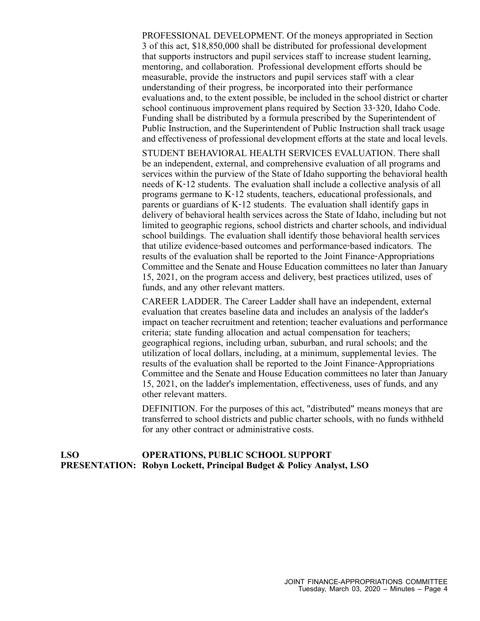PROFESSIONAL DEVELOPMENT. Of the moneys appropriated in Section 3 of this act, \$18,850,000 shall be distributed for professional development that supports instructors and pupil services staff to increase student learning, mentoring, and collaboration. Professional development efforts should be measurable, provide the instructors and pupil services staff with <sup>a</sup> clear understanding of their progress, be incorporated into their performance evaluations and, to the extent possible, be included in the school district or charter school continuous improvement plans required by Section 33‐320, Idaho Code. Funding shall be distributed by <sup>a</sup> formula prescribed by the Superintendent of Public Instruction, and the Superintendent of Public Instruction shall track usage and effectiveness of professional development efforts at the state and local levels.

STUDENT BEHAVIORAL HEALTH SERVICES EVALUATION. There shall be an independent, external, and comprehensive evaluation of all programs and services within the purview of the State of Idaho supporting the behavioral health needs of K‐12 students. The evaluation shall include <sup>a</sup> collective analysis of all programs germane to K‐12 students, teachers, educational professionals, and parents or guardians of K‐12 students. The evaluation shall identify gaps in delivery of behavioral health services across the State of Idaho, including but not limited to geographic regions, school districts and charter schools, and individual school buildings. The evaluation shall identify those behavioral health services that utilize evidence‐based outcomes and performance‐based indicators. The results of the evaluation shall be reported to the Joint Finance‐Appropriations Committee and the Senate and House Education committees no later than January 15, 2021, on the program access and delivery, best practices utilized, uses of funds, and any other relevant matters.

CAREER LADDER. The Career Ladder shall have an independent, external evaluation that creates baseline data and includes an analysis of the ladder's impact on teacher recruitment and retention; teacher evaluations and performance criteria; state funding allocation and actual compensation for teachers; geographical regions, including urban, suburban, and rural schools; and the utilization of local dollars, including, at <sup>a</sup> minimum, supplemental levies. The results of the evaluation shall be reported to the Joint Finance‐Appropriations Committee and the Senate and House Education committees no later than January 15, 2021, on the ladder's implementation, effectiveness, uses of funds, and any other relevant matters.

DEFINITION. For the purposes of this act, "distributed" means moneys that are transferred to school districts and public charter schools, with no funds withheld for any other contract or administrative costs.

#### **LSO PRESENTATION: Robyn Lockett, Principal Budget & Policy Analyst, LSO OPERATIONS, PUBLIC SCHOOL SUPPORT**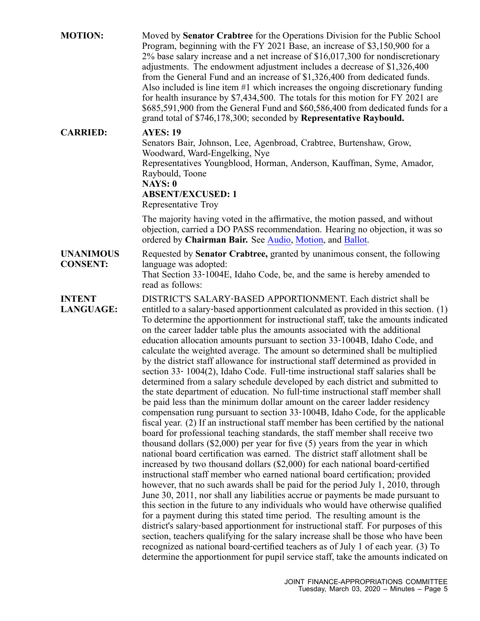| <b>MOTION:</b>                      | Moved by Senator Crabtree for the Operations Division for the Public School<br>Program, beginning with the FY 2021 Base, an increase of \$3,150,900 for a<br>$2\%$ base salary increase and a net increase of \$16,017,300 for nondiscretionary<br>adjustments. The endowment adjustment includes a decrease of \$1,326,400<br>from the General Fund and an increase of \$1,326,400 from dedicated funds.<br>Also included is line item #1 which increases the ongoing discretionary funding<br>for health insurance by $$7,434,500$ . The totals for this motion for FY 2021 are<br>\$685,591,900 from the General Fund and \$60,586,400 from dedicated funds for a<br>grand total of \$746,178,300; seconded by Representative Raybould.                                                                                                                                                                                                                                                                                                                                                                                                                                                                                                                                                                                                                                                                                                                                                                                                                                                                                                                                                                                                                                                                                                                                                                                                                                                                                                                                                                                                                                                                          |
|-------------------------------------|---------------------------------------------------------------------------------------------------------------------------------------------------------------------------------------------------------------------------------------------------------------------------------------------------------------------------------------------------------------------------------------------------------------------------------------------------------------------------------------------------------------------------------------------------------------------------------------------------------------------------------------------------------------------------------------------------------------------------------------------------------------------------------------------------------------------------------------------------------------------------------------------------------------------------------------------------------------------------------------------------------------------------------------------------------------------------------------------------------------------------------------------------------------------------------------------------------------------------------------------------------------------------------------------------------------------------------------------------------------------------------------------------------------------------------------------------------------------------------------------------------------------------------------------------------------------------------------------------------------------------------------------------------------------------------------------------------------------------------------------------------------------------------------------------------------------------------------------------------------------------------------------------------------------------------------------------------------------------------------------------------------------------------------------------------------------------------------------------------------------------------------------------------------------------------------------------------------------|
| <b>CARRIED:</b>                     | <b>AYES: 19</b><br>Senators Bair, Johnson, Lee, Agenbroad, Crabtree, Burtenshaw, Grow,<br>Woodward, Ward-Engelking, Nye<br>Representatives Youngblood, Horman, Anderson, Kauffman, Syme, Amador,<br>Raybould, Toone<br><b>NAYS: 0</b><br><b>ABSENT/EXCUSED: 1</b><br>Representative Troy                                                                                                                                                                                                                                                                                                                                                                                                                                                                                                                                                                                                                                                                                                                                                                                                                                                                                                                                                                                                                                                                                                                                                                                                                                                                                                                                                                                                                                                                                                                                                                                                                                                                                                                                                                                                                                                                                                                            |
|                                     | The majority having voted in the affirmative, the motion passed, and without<br>objection, carried a DO PASS recommendation. Hearing no objection, it was so<br>ordered by Chairman Bair. See Audio, Motion, and Ballot.                                                                                                                                                                                                                                                                                                                                                                                                                                                                                                                                                                                                                                                                                                                                                                                                                                                                                                                                                                                                                                                                                                                                                                                                                                                                                                                                                                                                                                                                                                                                                                                                                                                                                                                                                                                                                                                                                                                                                                                            |
| <b>UNANIMOUS</b><br><b>CONSENT:</b> | Requested by <b>Senator Crabtree</b> , granted by unanimous consent, the following<br>language was adopted:<br>That Section 33-1004E, Idaho Code, be, and the same is hereby amended to<br>read as follows:                                                                                                                                                                                                                                                                                                                                                                                                                                                                                                                                                                                                                                                                                                                                                                                                                                                                                                                                                                                                                                                                                                                                                                                                                                                                                                                                                                                                                                                                                                                                                                                                                                                                                                                                                                                                                                                                                                                                                                                                         |
| <b>INTENT</b><br><b>LANGUAGE:</b>   | DISTRICT'S SALARY-BASED APPORTIONMENT. Each district shall be<br>entitled to a salary-based apportionment calculated as provided in this section. (1)<br>To determine the apportionment for instructional staff, take the amounts indicated<br>on the career ladder table plus the amounts associated with the additional<br>education allocation amounts pursuant to section 33-1004B, Idaho Code, and<br>calculate the weighted average. The amount so determined shall be multiplied<br>by the district staff allowance for instructional staff determined as provided in<br>section 33-1004(2), Idaho Code. Full-time instructional staff salaries shall be<br>determined from a salary schedule developed by each district and submitted to<br>the state department of education. No full-time instructional staff member shall<br>be paid less than the minimum dollar amount on the career ladder residency<br>compensation rung pursuant to section 33-1004B, Idaho Code, for the applicable<br>fiscal year. (2) If an instructional staff member has been certified by the national<br>board for professional teaching standards, the staff member shall receive two<br>thousand dollars $(\$2,000)$ per year for five $(5)$ years from the year in which<br>national board certification was earned. The district staff allotment shall be<br>increased by two thousand dollars (\$2,000) for each national board-certified<br>instructional staff member who earned national board certification; provided<br>however, that no such awards shall be paid for the period July 1, 2010, through<br>June 30, 2011, nor shall any liabilities accrue or payments be made pursuant to<br>this section in the future to any individuals who would have otherwise qualified<br>for a payment during this stated time period. The resulting amount is the<br>district's salary-based apportionment for instructional staff. For purposes of this<br>section, teachers qualifying for the salary increase shall be those who have been<br>recognized as national board-certified teachers as of July 1 of each year. (3) To<br>determine the apportionment for pupil service staff, take the amounts indicated on |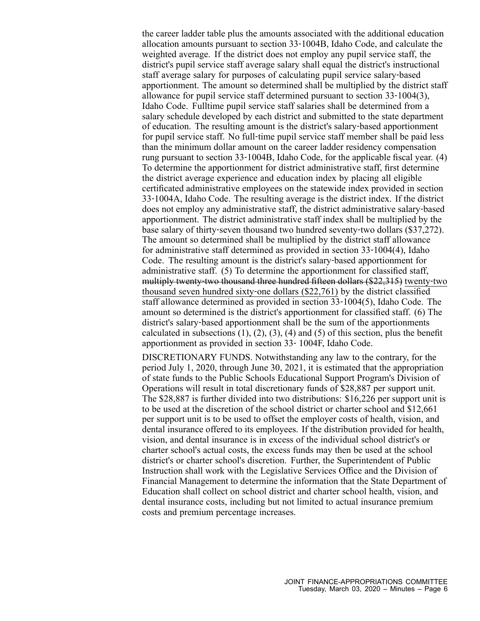the career ladder table plus the amounts associated with the additional education allocation amounts pursuan<sup>t</sup> to section 33‐1004B, Idaho Code, and calculate the weighted average. If the district does not employ any pupil service staff, the district's pupil service staff average salary shall equal the district's instructional staff average salary for purposes of calculating pupil service salary‐based apportionment. The amount so determined shall be multiplied by the district staff allowance for pupil service staff determined pursuan<sup>t</sup> to section 33‐1004(3), Idaho Code. Fulltime pupil service staff salaries shall be determined from <sup>a</sup> salary schedule developed by each district and submitted to the state department of education. The resulting amount is the district's salary‐based apportionment for pupil service staff. No full‐time pupil service staff member shall be paid less than the minimum dollar amount on the career ladder residency compensation rung pursuan<sup>t</sup> to section 33‐1004B, Idaho Code, for the applicable fiscal year. (4) To determine the apportionment for district administrative staff, first determine the district average experience and education index by placing all eligible certificated administrative employees on the statewide index provided in section 33‐1004A, Idaho Code. The resulting average is the district index. If the district does not employ any administrative staff, the district administrative salary‐based apportionment. The district administrative staff index shall be multiplied by the base salary of thirty‐seven thousand two hundred seventy‐two dollars (\$37,272). The amount so determined shall be multiplied by the district staff allowance for administrative staff determined as provided in section 33‐1004(4), Idaho Code. The resulting amount is the district's salary‐based apportionment for administrative staff. (5) To determine the apportionment for classified staff, multiply twenty‐two thousand three hundred fifteen dollars (\$22,315) twenty‐two thousand seven hundred sixty‐one dollars (\$22,761) by the district classified staff allowance determined as provided in section 33‐1004(5), Idaho Code. The amount so determined is the district's apportionment for classified staff. (6) The district's salary‐based apportionment shall be the sum of the apportionments calculated in subsections  $(1)$ ,  $(2)$ ,  $(3)$ ,  $(4)$  and  $(5)$  of this section, plus the benefit apportionment as provided in section 33‐ 1004F, Idaho Code.

DISCRETIONARY FUNDS. Notwithstanding any law to the contrary, for the period July 1, 2020, through June 30, 2021, it is estimated that the appropriation of state funds to the Public Schools Educational Support Program's Division of Operations will result in total discretionary funds of \$28,887 per suppor<sup>t</sup> unit. The \$28,887 is further divided into two distributions: \$16,226 per suppor<sup>t</sup> unit is to be used at the discretion of the school district or charter school and \$12,661 per suppor<sup>t</sup> unit is to be used to offset the employer costs of health, vision, and dental insurance offered to its employees. If the distribution provided for health, vision, and dental insurance is in excess of the individual school district's or charter school's actual costs, the excess funds may then be used at the school district's or charter school's discretion. Further, the Superintendent of Public Instruction shall work with the Legislative Services Office and the Division of Financial Management to determine the information that the State Department of Education shall collect on school district and charter school health, vision, and dental insurance costs, including but not limited to actual insurance premium costs and premium percentage increases.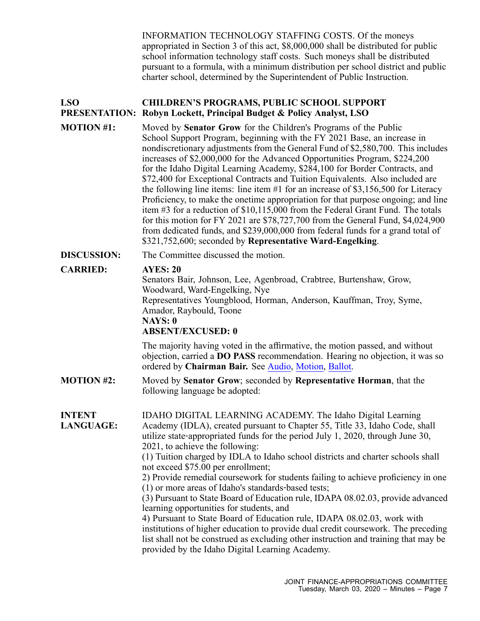INFORMATION TECHNOLOGY STAFFING COSTS. Of the moneys appropriated in Section 3 of this act, \$8,000,000 shall be distributed for public school information technology staff costs. Such moneys shall be distributed pursuan<sup>t</sup> to <sup>a</sup> formula, with <sup>a</sup> minimum distribution per school district and public charter school, determined by the Superintendent of Public Instruction.

#### **LSO PRESENTATION: Robyn Lockett, Principal Budget & Policy Analyst, LSO CHILDREN'S PROGRAMS, PUBLIC SCHOOL SUPPORT**

**MOTION #1:** Moved by **Senator Grow** for the Children's Programs of the Public School Support Program, beginning with the FY 2021 Base, an increase in nondiscretionary adjustments from the General Fund of \$2,580,700. This includes increases of \$2,000,000 for the Advanced Opportunities Program, \$224,200 for the Idaho Digital Learning Academy, \$284,100 for Border Contracts, and \$72,400 for Exceptional Contracts and Tuition Equivalents. Also included are the following line items: line item #1 for an increase of \$3,156,500 for Literacy Proficiency, to make the onetime appropriation for that purpose ongoing; and line item #3 for <sup>a</sup> reduction of \$10,115,000 from the Federal Grant Fund. The totals for this motion for FY 2021 are \$78,727,700 from the General Fund, \$4,024,900 from dedicated funds, and \$239,000,000 from federal funds for <sup>a</sup> grand total of \$321,752,600; seconded by **Representative Ward-Engelking**.

**DISCUSSION:** The Committee discussed the motion.

## **CARRIED: AYES: 20**

Senators Bair, Johnson, Lee, Agenbroad, Crabtree, Burtenshaw, Grow, Woodward, Ward-Engelking, Nye Representatives Youngblood, Horman, Anderson, Kauffman, Troy, Syme, Amador, Raybould, Toone **NAYS: 0 ABSENT/EXCUSED: 0**

The majority having voted in the affirmative, the motion passed, and without objection, carried <sup>a</sup> **DO PASS** recommendation. Hearing no objection, it was so ordered by **Chairman Bair.** See [Audio](https://legislature.idaho.gov/wp-content/uploads/budget/JFAC/sessionrecord/2020/2.Education/Public School Support/Children), [Motion](https://legislature.idaho.gov/wp-content/uploads/budget/JFAC/sessionrecord/2020/2.Education/Public School Support/Children), [Ballot](https://legislature.idaho.gov/wp-content/uploads/budget/JFAC/sessionrecord/2020/2.Education/Public School Support/Children).

**MOTION #2:** Moved by **Senator Grow**; seconded by **Representative Horman**, that the following language be adopted:

**INTENT LANGUAGE:** IDAHO DIGITAL LEARNING ACADEMY. The Idaho Digital Learning Academy (IDLA), created pursuan<sup>t</sup> to Chapter 55, Title 33, Idaho Code, shall utilize state‐appropriated funds for the period July 1, 2020, through June 30, 2021, to achieve the following:

> (1) Tuition charged by IDLA to Idaho school districts and charter schools shall not exceed \$75.00 per enrollment;

2) Provide remedial coursework for students failing to achieve proficiency in one (1) or more areas of Idaho's standards‐based tests;

(3) Pursuant to State Board of Education rule, IDAPA 08.02.03, provide advanced learning opportunities for students, and

4) Pursuant to State Board of Education rule, IDAPA 08.02.03, work with institutions of higher education to provide dual credit coursework. The preceding list shall not be construed as excluding other instruction and training that may be provided by the Idaho Digital Learning Academy.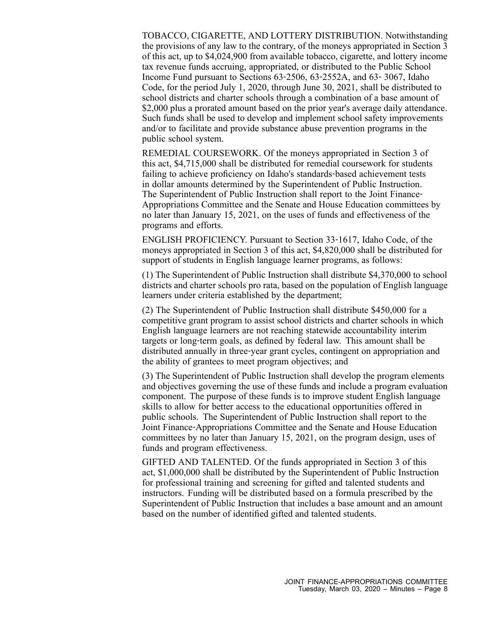TOBACCO, CIGARETTE, AND LOTTERY DISTRIBUTION. Notwithstanding the provisions of any law to the contrary, of the moneys appropriated in Section 3 of this act, up to \$4,024,900 from available tobacco, cigarette, and lottery income tax revenue funds accruing, appropriated, or distributed to the Public School Income Fund pursuan<sup>t</sup> to Sections 63‐2506, 63‐2552A, and 63‐ 3067, Idaho Code, for the period July 1, 2020, through June 30, 2021, shall be distributed to school districts and charter schools through <sup>a</sup> combination of <sup>a</sup> base amount of \$2,000 plus a prorated amount based on the prior year's average daily attendance. Such funds shall be used to develop and implement school safety improvements and/or to facilitate and provide substance abuse prevention programs in the public school system.

REMEDIAL COURSEWORK. Of the moneys appropriated in Section 3 of this act, \$4,715,000 shall be distributed for remedial coursework for students failing to achieve proficiency on Idaho's standards‐based achievement tests in dollar amounts determined by the Superintendent of Public Instruction. The Superintendent of Public Instruction shall report to the Joint Finance-Appropriations Committee and the Senate and House Education committees by no later than January 15, 2021, on the uses of funds and effectiveness of the programs and efforts.

ENGLISH PROFICIENCY. Pursuant to Section 33‐1617, Idaho Code, of the moneys appropriated in Section 3 of this act, \$4,820,000 shall be distributed for suppor<sup>t</sup> of students in English language learner programs, as follows:

(1) The Superintendent of Public Instruction shall distribute \$4,370,000 to school districts and charter schools pro rata, based on the population of English language learners under criteria established by the department;

(2) The Superintendent of Public Instruction shall distribute \$450,000 for <sup>a</sup> competitive gran<sup>t</sup> program to assist school districts and charter schools in which English language learners are not reaching statewide accountability interim targets or long‐term goals, as defined by federal law. This amount shall be distributed annually in three‐year gran<sup>t</sup> cycles, contingent on appropriation and the ability of grantees to meet program objectives; and

(3) The Superintendent of Public Instruction shall develop the program elements and objectives governing the use of these funds and include <sup>a</sup> program evaluation component. The purpose of these funds is to improve student English language skills to allow for better access to the educational opportunities offered in public schools. The Superintendent of Public Instruction shall repor<sup>t</sup> to the Joint Finance‐Appropriations Committee and the Senate and House Education committees by no later than January 15, 2021, on the program design, uses of funds and program effectiveness.

GIFTED AND TALENTED. Of the funds appropriated in Section 3 of this act, \$1,000,000 shall be distributed by the Superintendent of Public Instruction for professional training and screening for gifted and talented students and instructors. Funding will be distributed based on <sup>a</sup> formula prescribed by the Superintendent of Public Instruction that includes <sup>a</sup> base amount and an amount based on the number of identified gifted and talented students.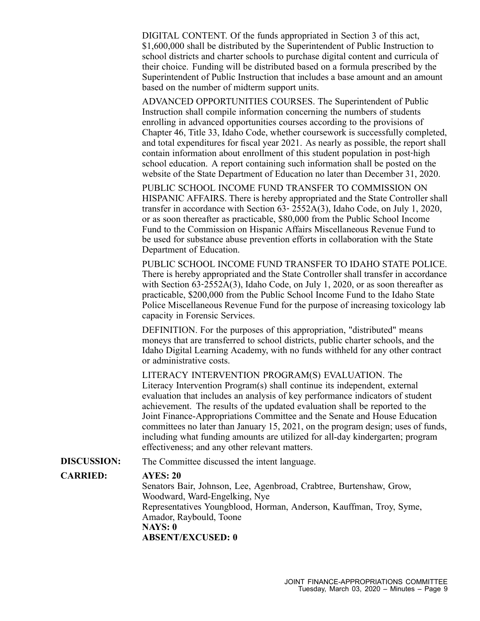DIGITAL CONTENT. Of the funds appropriated in Section 3 of this act, \$1,600,000 shall be distributed by the Superintendent of Public Instruction to school districts and charter schools to purchase digital content and curricula of their choice. Funding will be distributed based on <sup>a</sup> formula prescribed by the Superintendent of Public Instruction that includes <sup>a</sup> base amount and an amount based on the number of midterm suppor<sup>t</sup> units.

ADVANCED OPPORTUNITIES COURSES. The Superintendent of Public Instruction shall compile information concerning the numbers of students enrolling in advanced opportunities courses according to the provisions of Chapter 46, Title 33, Idaho Code, whether coursework is successfully completed, and total expenditures for fiscal year 2021. As nearly as possible, the repor<sup>t</sup> shall contain information about enrollment of this student population in post-high school education. A repor<sup>t</sup> containing such information shall be posted on the website of the State Department of Education no later than December 31, 2020.

PUBLIC SCHOOL INCOME FUND TRANSFER TO COMMISSION ON HISPANIC AFFAIRS. There is hereby appropriated and the State Controller shall transfer in accordance with Section 63‐ 2552A(3), Idaho Code, on July 1, 2020, or as soon thereafter as practicable, \$80,000 from the Public School Income Fund to the Commission on Hispanic Affairs Miscellaneous Revenue Fund to be used for substance abuse prevention efforts in collaboration with the State Department of Education.

PUBLIC SCHOOL INCOME FUND TRANSFER TO IDAHO STATE POLICE. There is hereby appropriated and the State Controller shall transfer in accordance with Section 63-2552A(3), Idaho Code, on July 1, 2020, or as soon thereafter as practicable, \$200,000 from the Public School Income Fund to the Idaho State Police Miscellaneous Revenue Fund for the purpose of increasing toxicology lab capacity in Forensic Services.

DEFINITION. For the purposes of this appropriation, "distributed" means moneys that are transferred to school districts, public charter schools, and the Idaho Digital Learning Academy, with no funds withheld for any other contract or administrative costs.

LITERACY INTERVENTION PROGRAM(S) EVALUATION. The Literacy Intervention Program(s) shall continue its independent, external evaluation that includes an analysis of key performance indicators of student achievement. The results of the updated evaluation shall be reported to the Joint Finance-Appropriations Committee and the Senate and House Education committees no later than January 15, 2021, on the program design; uses of funds, including what funding amounts are utilized for all-day kindergarten; program effectiveness; and any other relevant matters.

**DISCUSSION:** The Committee discussed the intent language.

### **CARRIED: AYES: 20**

Senators Bair, Johnson, Lee, Agenbroad, Crabtree, Burtenshaw, Grow, Woodward, Ward-Engelking, Nye Representatives Youngblood, Horman, Anderson, Kauffman, Troy, Syme, Amador, Raybould, Toone **NAYS: 0 ABSENT/EXCUSED: 0**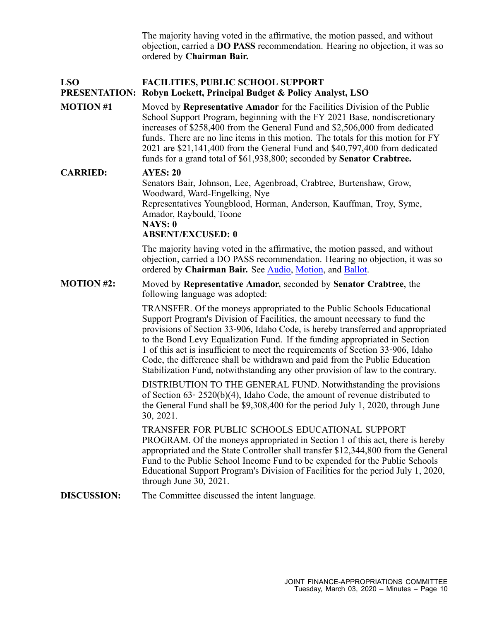The majority having voted in the affirmative, the motion passed, and without objection, carried <sup>a</sup> **DO PASS** recommendation. Hearing no objection, it was so ordered by **Chairman Bair.**

#### **LSO FACILITIES, PUBLIC SCHOOL SUPPORT**

## **PRESENTATION: Robyn Lockett, Principal Budget & Policy Analyst, LSO**

**MOTION #1** Moved by **Representative Amador** for the Facilities Division of the Public School Support Program, beginning with the FY 2021 Base, nondiscretionary increases of \$258,400 from the General Fund and \$2,506,000 from dedicated funds. There are no line items in this motion. The totals for this motion for FY 2021 are \$21,141,400 from the General Fund and \$40,797,400 from dedicated funds for <sup>a</sup> grand total of \$61,938,800; seconded by **Senator Crabtree.**

### **CARRIED: AYES: 20**

Senators Bair, Johnson, Lee, Agenbroad, Crabtree, Burtenshaw, Grow, Woodward, Ward-Engelking, Nye Representatives Youngblood, Horman, Anderson, Kauffman, Troy, Syme, Amador, Raybould, Toone **NAYS: 0 ABSENT/EXCUSED: 0**

The majority having voted in the affirmative, the motion passed, and without objection, carried <sup>a</sup> DO PASS recommendation. Hearing no objection, it was so ordered by **Chairman Bair.** See [Audio](https://legislature.idaho.gov/wp-content/uploads/budget/JFAC/sessionrecord/2020/2.Education/Public School Support/Facilities/~Budget Setting/March 03, 2020/A.Audio.mp3?1584028108), [Motion](https://legislature.idaho.gov/wp-content/uploads/budget/JFAC/sessionrecord/2020/2.Education/Public School Support/Facilities/~Budget Setting/March 03, 2020/A.Motion.pdf?1584028108), and [Ballot](https://legislature.idaho.gov/wp-content/uploads/budget/JFAC/sessionrecord/2020/2.Education/Public School Support/Facilities/~Budget Setting/March 03, 2020/A.Ballot.pdf?1584028108).

**MOTION #2:** Moved by **Representative Amador,** seconded by **Senator Crabtree**, the following language was adopted:

> TRANSFER. Of the moneys appropriated to the Public Schools Educational Support Program's Division of Facilities, the amount necessary to fund the provisions of Section 33‐906, Idaho Code, is hereby transferred and appropriated to the Bond Levy Equalization Fund. If the funding appropriated in Section 1 of this act is insufficient to meet the requirements of Section 33‐906, Idaho Code, the difference shall be withdrawn and paid from the Public Education Stabilization Fund, notwithstanding any other provision of law to the contrary.

DISTRIBUTION TO THE GENERAL FUND. Notwithstanding the provisions of Section 63‐ 2520(b)(4), Idaho Code, the amount of revenue distributed to the General Fund shall be \$9,308,400 for the period July 1, 2020, through June 30, 2021.

TRANSFER FOR PUBLIC SCHOOLS EDUCATIONAL SUPPORT PROGRAM. Of the moneys appropriated in Section 1 of this act, there is hereby appropriated and the State Controller shall transfer \$12,344,800 from the General Fund to the Public School Income Fund to be expended for the Public Schools Educational Support Program's Division of Facilities for the period July 1, 2020, through June 30, 2021.

**DISCUSSION:** The Committee discussed the intent language.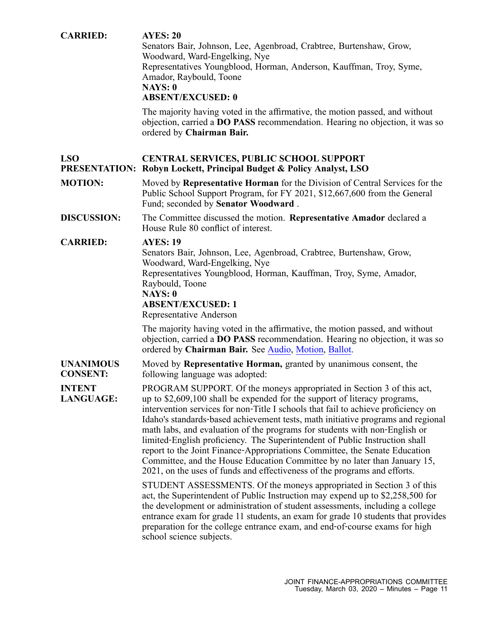| <b>CARRIED:</b>                     | <b>AYES: 20</b><br>Senators Bair, Johnson, Lee, Agenbroad, Crabtree, Burtenshaw, Grow,<br>Woodward, Ward-Engelking, Nye<br>Representatives Youngblood, Horman, Anderson, Kauffman, Troy, Syme,<br>Amador, Raybould, Toone<br>NAYS: 0<br><b>ABSENT/EXCUSED: 0</b><br>The majority having voted in the affirmative, the motion passed, and without<br>objection, carried a <b>DO PASS</b> recommendation. Hearing no objection, it was so<br>ordered by Chairman Bair.                                                                                                                                                                                                                                                                                                                                     |
|-------------------------------------|----------------------------------------------------------------------------------------------------------------------------------------------------------------------------------------------------------------------------------------------------------------------------------------------------------------------------------------------------------------------------------------------------------------------------------------------------------------------------------------------------------------------------------------------------------------------------------------------------------------------------------------------------------------------------------------------------------------------------------------------------------------------------------------------------------|
| <b>LSO</b><br><b>PRESENTATION:</b>  | <b>CENTRAL SERVICES, PUBLIC SCHOOL SUPPORT</b><br>Robyn Lockett, Principal Budget & Policy Analyst, LSO                                                                                                                                                                                                                                                                                                                                                                                                                                                                                                                                                                                                                                                                                                  |
| <b>MOTION:</b>                      | Moved by Representative Horman for the Division of Central Services for the<br>Public School Support Program, for FY 2021, \$12,667,600 from the General<br>Fund; seconded by Senator Woodward.                                                                                                                                                                                                                                                                                                                                                                                                                                                                                                                                                                                                          |
| <b>DISCUSSION:</b>                  | The Committee discussed the motion. Representative Amador declared a<br>House Rule 80 conflict of interest.                                                                                                                                                                                                                                                                                                                                                                                                                                                                                                                                                                                                                                                                                              |
| <b>CARRIED:</b>                     | <b>AYES: 19</b><br>Senators Bair, Johnson, Lee, Agenbroad, Crabtree, Burtenshaw, Grow,<br>Woodward, Ward-Engelking, Nye<br>Representatives Youngblood, Horman, Kauffman, Troy, Syme, Amador,<br>Raybould, Toone<br>NAYS: 0<br><b>ABSENT/EXCUSED: 1</b><br>Representative Anderson                                                                                                                                                                                                                                                                                                                                                                                                                                                                                                                        |
|                                     | The majority having voted in the affirmative, the motion passed, and without<br>objection, carried a DO PASS recommendation. Hearing no objection, it was so<br>ordered by Chairman Bair. See Audio, Motion, Ballot.                                                                                                                                                                                                                                                                                                                                                                                                                                                                                                                                                                                     |
| <b>UNANIMOUS</b><br><b>CONSENT:</b> | Moved by <b>Representative Horman</b> , granted by unanimous consent, the<br>following language was adopted:                                                                                                                                                                                                                                                                                                                                                                                                                                                                                                                                                                                                                                                                                             |
| <b>INTENT</b><br><b>LANGUAGE:</b>   | PROGRAM SUPPORT. Of the moneys appropriated in Section 3 of this act,<br>up to \$2,609,100 shall be expended for the support of literacy programs,<br>intervention services for non-Title I schools that fail to achieve proficiency on<br>Idaho's standards-based achievement tests, math initiative programs and regional<br>math labs, and evaluation of the programs for students with non-English or<br>limited-English proficiency. The Superintendent of Public Instruction shall<br>report to the Joint Finance-Appropriations Committee, the Senate Education<br>Committee, and the House Education Committee by no later than January 15,<br>2021, on the uses of funds and effectiveness of the programs and efforts.<br>STUDENT ASSESSMENTS. Of the moneys appropriated in Section 3 of this |
|                                     | act, the Superintendent of Public Instruction may expend up to \$2,258,500 for<br>the development or administration of student assessments, including a college<br>entrance exam for grade 11 students, an exam for grade 10 students that provides<br>preparation for the college entrance exam, and end-of-course exams for high<br>school science subjects.                                                                                                                                                                                                                                                                                                                                                                                                                                           |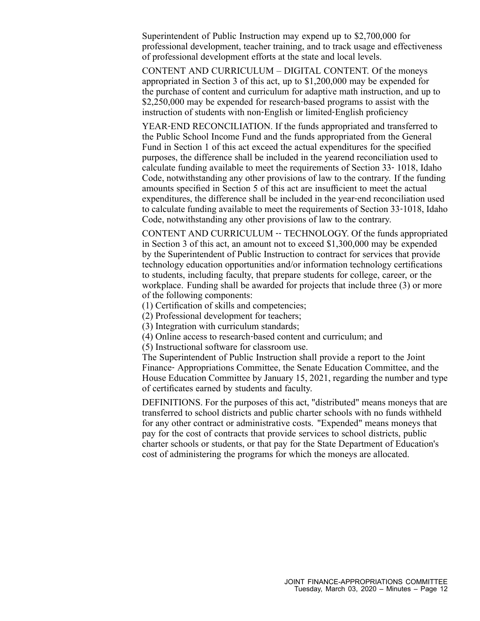Superintendent of Public Instruction may expend up to \$2,700,000 for professional development, teacher training, and to track usage and effectiveness of professional development efforts at the state and local levels.

CONTENT AND CURRICULUM – DIGITAL CONTENT. Of the moneys appropriated in Section 3 of this act, up to \$1,200,000 may be expended for the purchase of content and curriculum for adaptive math instruction, and up to \$2,250,000 may be expended for research-based programs to assist with the instruction of students with non‐English or limited‐English proficiency

YEAR‐END RECONCILIATION. If the funds appropriated and transferred to the Public School Income Fund and the funds appropriated from the General Fund in Section 1 of this act exceed the actual expenditures for the specified purposes, the difference shall be included in the yearend reconciliation used to calculate funding available to meet the requirements of Section 33‐ 1018, Idaho Code, notwithstanding any other provisions of law to the contrary. If the funding amounts specified in Section 5 of this act are insufficient to meet the actual expenditures, the difference shall be included in the year-end reconciliation used to calculate funding available to meet the requirements of Section 33‐1018, Idaho Code, notwithstanding any other provisions of law to the contrary.

CONTENT AND CURRICULUM ‐‐ TECHNOLOGY. Of the funds appropriated in Section 3 of this act, an amount not to exceed \$1,300,000 may be expended by the Superintendent of Public Instruction to contract for services that provide technology education opportunities and/or information technology certifications to students, including faculty, that prepare students for college, career, or the workplace. Funding shall be awarded for projects that include three (3) or more of the following components:

(1) Certification of skills and competencies;

(2) Professional development for teachers;

(3) Integration with curriculum standards;

(4) Online access to research‐based content and curriculum; and

(5) Instructional software for classroom use.

The Superintendent of Public Instruction shall provide <sup>a</sup> repor<sup>t</sup> to the Joint Finance‐ Appropriations Committee, the Senate Education Committee, and the House Education Committee by January 15, 2021, regarding the number and type of certificates earned by students and faculty.

DEFINITIONS. For the purposes of this act, "distributed" means moneys that are transferred to school districts and public charter schools with no funds withheld for any other contract or administrative costs. "Expended" means moneys that pay for the cost of contracts that provide services to school districts, public charter schools or students, or that pay for the State Department of Education's cost of administering the programs for which the moneys are allocated.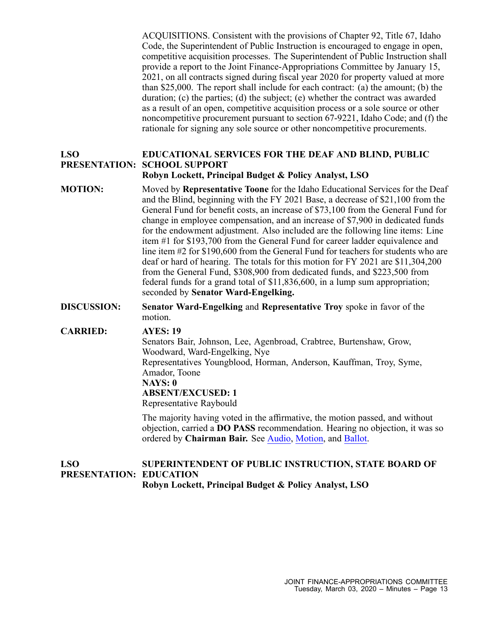ACQUISITIONS. Consistent with the provisions of Chapter 92, Title 67, Idaho Code, the Superintendent of Public Instruction is encouraged to engage in open, competitive acquisition processes. The Superintendent of Public Instruction shall provide <sup>a</sup> repor<sup>t</sup> to the Joint Finance-Appropriations Committee by January 15, 2021, on all contracts signed during fiscal year 2020 for property valued at more than \$25,000. The repor<sup>t</sup> shall include for each contract: (a) the amount; (b) the duration; (c) the parties; (d) the subject; (e) whether the contract was awarded as <sup>a</sup> result of an open, competitive acquisition process or <sup>a</sup> sole source or other noncompetitive procuremen<sup>t</sup> pursuan<sup>t</sup> to section 67-9221, Idaho Code; and (f) the rationale for signing any sole source or other noncompetitive procurements.

#### **LSO PRESENTATION: SCHOOL SUPPORT EDUCATIONAL SERVICES FOR THE DEAF AND BLIND, PUBLIC Robyn Lockett, Principal Budget & Policy Analyst, LSO**

- **MOTION:** Moved by **Representative Toone** for the Idaho Educational Services for the Deaf and the Blind, beginning with the FY 2021 Base, <sup>a</sup> decrease of \$21,100 from the General Fund for benefit costs, an increase of \$73,100 from the General Fund for change in employee compensation, and an increase of \$7,900 in dedicated funds for the endowment adjustment. Also included are the following line items: Line item #1 for \$193,700 from the General Fund for career ladder equivalence and line item #2 for \$190,600 from the General Fund for teachers for students who are deaf or hard of hearing. The totals for this motion for FY 2021 are \$11,304,200 from the General Fund, \$308,900 from dedicated funds, and \$223,500 from federal funds for <sup>a</sup> grand total of \$11,836,600, in <sup>a</sup> lump sum appropriation; seconded by **Senator Ward-Engelking.**
- **DISCUSSION: Senator Ward-Engelking** and **Representative Troy** spoke in favor of the motion.

**CARRIED: AYES: 19** Senators Bair, Johnson, Lee, Agenbroad, Crabtree, Burtenshaw, Grow, Woodward, Ward-Engelking, Nye Representatives Youngblood, Horman, Anderson, Kauffman, Troy, Syme, Amador, Toone **NAYS: 0 ABSENT/EXCUSED: 1** Representative Raybould

> The majority having voted in the affirmative, the motion passed, and without objection, carried <sup>a</sup> **DO PASS** recommendation. Hearing no objection, it was so ordered by **Chairman Bair.** See [Audio](https://legislature.idaho.gov/wp-content/uploads/budget/JFAC/sessionrecord/2020/2.Education/Public School Support/Deaf and Blind, Educational Services for the/~Budget Setting/March 03, 2020/A.Audio.mp3?1584028108), [Motion](https://legislature.idaho.gov/wp-content/uploads/budget/JFAC/sessionrecord/2020/2.Education/Public School Support/Deaf and Blind, Educational Services for the/~Budget Setting/March 03, 2020/A.Motion.pdf?1584028108), and [Ballot](https://legislature.idaho.gov/wp-content/uploads/budget/JFAC/sessionrecord/2020/2.Education/Public School Support/Deaf and Blind, Educational Services for the/~Budget Setting/March 03, 2020/A.Ballot.pdf?1584028108).

#### **LSO PRESENTATION: EDUCATION SUPERINTENDENT OF PUBLIC INSTRUCTION, STATE BOARD OF Robyn Lockett, Principal Budget & Policy Analyst, LSO**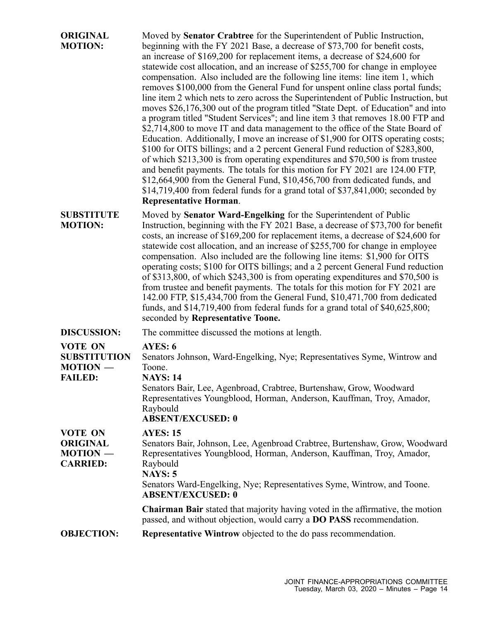| <b>ORIGINAL</b><br><b>MOTION:</b>                                   | Moved by Senator Crabtree for the Superintendent of Public Instruction,<br>beginning with the FY 2021 Base, a decrease of \$73,700 for benefit costs,<br>an increase of \$169,200 for replacement items, a decrease of \$24,600 for<br>statewide cost allocation, and an increase of \$255,700 for change in employee<br>compensation. Also included are the following line items: line item 1, which<br>removes \$100,000 from the General Fund for unspent online class portal funds;<br>line item 2 which nets to zero across the Superintendent of Public Instruction, but<br>moves \$26,176,300 out of the program titled "State Dept. of Education" and into<br>a program titled "Student Services"; and line item 3 that removes 18.00 FTP and<br>\$2,714,800 to move IT and data management to the office of the State Board of<br>Education. Additionally, I move an increase of \$1,900 for OITS operating costs;<br>\$100 for OITS billings; and a 2 percent General Fund reduction of \$283,800,<br>of which \$213,300 is from operating expenditures and \$70,500 is from trustee<br>and benefit payments. The totals for this motion for FY 2021 are 124.00 FTP,<br>$$12,664,900$ from the General Fund, $$10,456,700$ from dedicated funds, and<br>\$14,719,400 from federal funds for a grand total of \$37,841,000; seconded by<br><b>Representative Horman.</b> |
|---------------------------------------------------------------------|-----------------------------------------------------------------------------------------------------------------------------------------------------------------------------------------------------------------------------------------------------------------------------------------------------------------------------------------------------------------------------------------------------------------------------------------------------------------------------------------------------------------------------------------------------------------------------------------------------------------------------------------------------------------------------------------------------------------------------------------------------------------------------------------------------------------------------------------------------------------------------------------------------------------------------------------------------------------------------------------------------------------------------------------------------------------------------------------------------------------------------------------------------------------------------------------------------------------------------------------------------------------------------------------------------------------------------------------------------------------------------------|
| <b>SUBSTITUTE</b><br><b>MOTION:</b>                                 | Moved by Senator Ward-Engelking for the Superintendent of Public<br>Instruction, beginning with the FY 2021 Base, a decrease of \$73,700 for benefit<br>costs, an increase of \$169,200 for replacement items, a decrease of \$24,600 for<br>statewide cost allocation, and an increase of \$255,700 for change in employee<br>compensation. Also included are the following line items: \$1,900 for OITS<br>operating costs; \$100 for OITS billings; and a 2 percent General Fund reduction<br>of \$313,800, of which \$243,300 is from operating expenditures and \$70,500 is<br>from trustee and benefit payments. The totals for this motion for FY 2021 are<br>142.00 FTP, \$15,434,700 from the General Fund, \$10,471,700 from dedicated<br>funds, and $$14,719,400$ from federal funds for a grand total of $$40,625,800$ ;<br>seconded by Representative Toone.                                                                                                                                                                                                                                                                                                                                                                                                                                                                                                         |
| <b>DISCUSSION:</b>                                                  | The committee discussed the motions at length.                                                                                                                                                                                                                                                                                                                                                                                                                                                                                                                                                                                                                                                                                                                                                                                                                                                                                                                                                                                                                                                                                                                                                                                                                                                                                                                                    |
| <b>VOTE ON</b><br><b>SUBSTITUTION</b><br>MOTION -<br><b>FAILED:</b> | AYES: 6<br>Senators Johnson, Ward-Engelking, Nye; Representatives Syme, Wintrow and<br>Toone.<br><b>NAYS: 14</b><br>Senators Bair, Lee, Agenbroad, Crabtree, Burtenshaw, Grow, Woodward<br>Representatives Youngblood, Horman, Anderson, Kauffman, Troy, Amador,<br>Raybould<br><b>ABSENT/EXCUSED: 0</b>                                                                                                                                                                                                                                                                                                                                                                                                                                                                                                                                                                                                                                                                                                                                                                                                                                                                                                                                                                                                                                                                          |
| <b>VOTE ON</b><br><b>ORIGINAL</b><br>MOTION -<br><b>CARRIED:</b>    | <b>AYES: 15</b><br>Senators Bair, Johnson, Lee, Agenbroad Crabtree, Burtenshaw, Grow, Woodward<br>Representatives Youngblood, Horman, Anderson, Kauffman, Troy, Amador,<br>Raybould<br><b>NAYS: 5</b><br>Senators Ward-Engelking, Nye; Representatives Syme, Wintrow, and Toone.<br><b>ABSENT/EXCUSED: 0</b>                                                                                                                                                                                                                                                                                                                                                                                                                                                                                                                                                                                                                                                                                                                                                                                                                                                                                                                                                                                                                                                                      |
|                                                                     | <b>Chairman Bair</b> stated that majority having voted in the affirmative, the motion<br>passed, and without objection, would carry a <b>DO PASS</b> recommendation.                                                                                                                                                                                                                                                                                                                                                                                                                                                                                                                                                                                                                                                                                                                                                                                                                                                                                                                                                                                                                                                                                                                                                                                                              |
| <b>OBJECTION:</b>                                                   | <b>Representative Wintrow</b> objected to the do pass recommendation.                                                                                                                                                                                                                                                                                                                                                                                                                                                                                                                                                                                                                                                                                                                                                                                                                                                                                                                                                                                                                                                                                                                                                                                                                                                                                                             |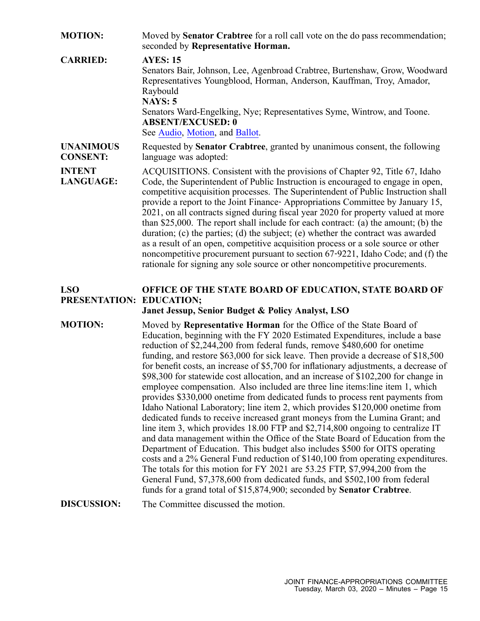| <b>MOTION:</b>                      | Moved by <b>Senator Crabtree</b> for a roll call vote on the do pass recommendation;<br>seconded by Representative Horman.                                                                                                                                                                                                                                                                                                                                                                                                                                                                                                                                                                                                                                                                                                                                                                                                                                                                                                                                                                                                                                                                                                                                                                                                                                                                                                                                                       |
|-------------------------------------|----------------------------------------------------------------------------------------------------------------------------------------------------------------------------------------------------------------------------------------------------------------------------------------------------------------------------------------------------------------------------------------------------------------------------------------------------------------------------------------------------------------------------------------------------------------------------------------------------------------------------------------------------------------------------------------------------------------------------------------------------------------------------------------------------------------------------------------------------------------------------------------------------------------------------------------------------------------------------------------------------------------------------------------------------------------------------------------------------------------------------------------------------------------------------------------------------------------------------------------------------------------------------------------------------------------------------------------------------------------------------------------------------------------------------------------------------------------------------------|
| <b>CARRIED:</b>                     | <b>AYES: 15</b><br>Senators Bair, Johnson, Lee, Agenbroad Crabtree, Burtenshaw, Grow, Woodward<br>Representatives Youngblood, Horman, Anderson, Kauffman, Troy, Amador,<br>Raybould<br><b>NAYS: 5</b><br>Senators Ward-Engelking, Nye; Representatives Syme, Wintrow, and Toone.<br><b>ABSENT/EXCUSED: 0</b><br>See Audio, Motion, and Ballot.                                                                                                                                                                                                                                                                                                                                                                                                                                                                                                                                                                                                                                                                                                                                                                                                                                                                                                                                                                                                                                                                                                                                   |
| <b>UNANIMOUS</b><br><b>CONSENT:</b> | Requested by Senator Crabtree, granted by unanimous consent, the following<br>language was adopted:                                                                                                                                                                                                                                                                                                                                                                                                                                                                                                                                                                                                                                                                                                                                                                                                                                                                                                                                                                                                                                                                                                                                                                                                                                                                                                                                                                              |
| <b>INTENT</b><br><b>LANGUAGE:</b>   | ACQUISITIONS. Consistent with the provisions of Chapter 92, Title 67, Idaho<br>Code, the Superintendent of Public Instruction is encouraged to engage in open,<br>competitive acquisition processes. The Superintendent of Public Instruction shall<br>provide a report to the Joint Finance-Appropriations Committee by January 15,<br>2021, on all contracts signed during fiscal year 2020 for property valued at more<br>than \$25,000. The report shall include for each contract: (a) the amount; (b) the<br>duration; (c) the parties; (d) the subject; (e) whether the contract was awarded<br>as a result of an open, competitive acquisition process or a sole source or other<br>noncompetitive procurement pursuant to section 67-9221, Idaho Code; and (f) the<br>rationale for signing any sole source or other noncompetitive procurements.                                                                                                                                                                                                                                                                                                                                                                                                                                                                                                                                                                                                                       |
| <b>LSO</b>                          | OFFICE OF THE STATE BOARD OF EDUCATION, STATE BOARD OF                                                                                                                                                                                                                                                                                                                                                                                                                                                                                                                                                                                                                                                                                                                                                                                                                                                                                                                                                                                                                                                                                                                                                                                                                                                                                                                                                                                                                           |
|                                     | PRESENTATION: EDUCATION;                                                                                                                                                                                                                                                                                                                                                                                                                                                                                                                                                                                                                                                                                                                                                                                                                                                                                                                                                                                                                                                                                                                                                                                                                                                                                                                                                                                                                                                         |
| <b>MOTION:</b>                      | Janet Jessup, Senior Budget & Policy Analyst, LSO<br>Moved by Representative Horman for the Office of the State Board of<br>Education, beginning with the FY 2020 Estimated Expenditures, include a base<br>reduction of \$2,244,200 from federal funds, remove \$480,600 for onetime<br>funding, and restore \$63,000 for sick leave. Then provide a decrease of \$18,500<br>for benefit costs, an increase of \$5,700 for inflationary adjustments, a decrease of<br>\$98,300 for statewide cost allocation, and an increase of \$102,200 for change in<br>employee compensation. Also included are three line items: line item 1, which<br>provides \$330,000 onetime from dedicated funds to process rent payments from<br>Idaho National Laboratory; line item 2, which provides \$120,000 onetime from<br>dedicated funds to receive increased grant moneys from the Lumina Grant; and<br>line item 3, which provides 18.00 FTP and \$2,714,800 ongoing to centralize IT<br>and data management within the Office of the State Board of Education from the<br>Department of Education. This budget also includes \$500 for OITS operating<br>costs and a 2% General Fund reduction of \$140,100 from operating expenditures.<br>The totals for this motion for FY 2021 are 53.25 FTP, \$7,994,200 from the<br>General Fund, \$7,378,600 from dedicated funds, and \$502,100 from federal<br>funds for a grand total of \$15,874,900; seconded by <b>Senator Crabtree</b> . |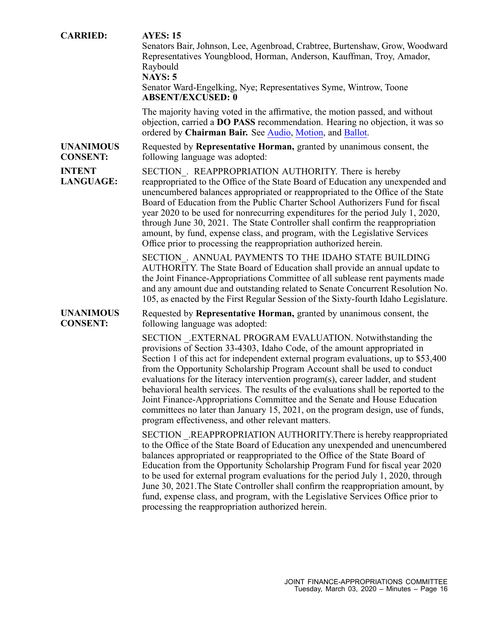| <b>CARRIED:</b>                     | <b>AYES: 15</b><br>Senators Bair, Johnson, Lee, Agenbroad, Crabtree, Burtenshaw, Grow, Woodward<br>Representatives Youngblood, Horman, Anderson, Kauffman, Troy, Amador,<br>Raybould<br><b>NAYS: 5</b><br>Senator Ward-Engelking, Nye; Representatives Syme, Wintrow, Toone<br><b>ABSENT/EXCUSED: 0</b>                                                                                                                                                                                                                                                                                                                                                                                                   |
|-------------------------------------|-----------------------------------------------------------------------------------------------------------------------------------------------------------------------------------------------------------------------------------------------------------------------------------------------------------------------------------------------------------------------------------------------------------------------------------------------------------------------------------------------------------------------------------------------------------------------------------------------------------------------------------------------------------------------------------------------------------|
|                                     | The majority having voted in the affirmative, the motion passed, and without<br>objection, carried a DO PASS recommendation. Hearing no objection, it was so<br>ordered by Chairman Bair. See Audio, Motion, and Ballot.                                                                                                                                                                                                                                                                                                                                                                                                                                                                                  |
| <b>UNANIMOUS</b><br><b>CONSENT:</b> | Requested by Representative Horman, granted by unanimous consent, the<br>following language was adopted:                                                                                                                                                                                                                                                                                                                                                                                                                                                                                                                                                                                                  |
| <b>INTENT</b><br><b>LANGUAGE:</b>   | SECTION . REAPPROPRIATION AUTHORITY. There is hereby<br>reappropriated to the Office of the State Board of Education any unexpended and<br>unencumbered balances appropriated or reappropriated to the Office of the State<br>Board of Education from the Public Charter School Authorizers Fund for fiscal<br>year 2020 to be used for nonrecurring expenditures for the period July 1, 2020,<br>through June 30, 2021. The State Controller shall confirm the reappropriation<br>amount, by fund, expense class, and program, with the Legislative Services<br>Office prior to processing the reappropriation authorized herein.                                                                        |
|                                     | SECTION . ANNUAL PAYMENTS TO THE IDAHO STATE BUILDING<br>AUTHORITY. The State Board of Education shall provide an annual update to<br>the Joint Finance-Appropriations Committee of all sublease rent payments made<br>and any amount due and outstanding related to Senate Concurrent Resolution No.<br>105, as enacted by the First Regular Session of the Sixty-fourth Idaho Legislature.                                                                                                                                                                                                                                                                                                              |
| <b>UNANIMOUS</b><br><b>CONSENT:</b> | Requested by Representative Horman, granted by unanimous consent, the<br>following language was adopted:                                                                                                                                                                                                                                                                                                                                                                                                                                                                                                                                                                                                  |
|                                     | SECTION .EXTERNAL PROGRAM EVALUATION. Notwithstanding the<br>provisions of Section 33-4303, Idaho Code, of the amount appropriated in<br>Section 1 of this act for independent external program evaluations, up to \$53,400<br>from the Opportunity Scholarship Program Account shall be used to conduct<br>evaluations for the literacy intervention program(s), career ladder, and student<br>behavioral health services. The results of the evaluations shall be reported to the<br>Joint Finance-Appropriations Committee and the Senate and House Education<br>committees no later than January 15, 2021, on the program design, use of funds,<br>program effectiveness, and other relevant matters. |
|                                     | SECTION .REAPPROPRIATION AUTHORITY.There is hereby reappropriated<br>to the Office of the State Board of Education any unexpended and unencumbered<br>balances appropriated or reappropriated to the Office of the State Board of<br>Education from the Opportunity Scholarship Program Fund for fiscal year 2020<br>to be used for external program evaluations for the period July 1, 2020, through<br>June 30, 2021. The State Controller shall confirm the reappropriation amount, by<br>fund, expense class, and program, with the Legislative Services Office prior to<br>processing the reappropriation authorized herein.                                                                         |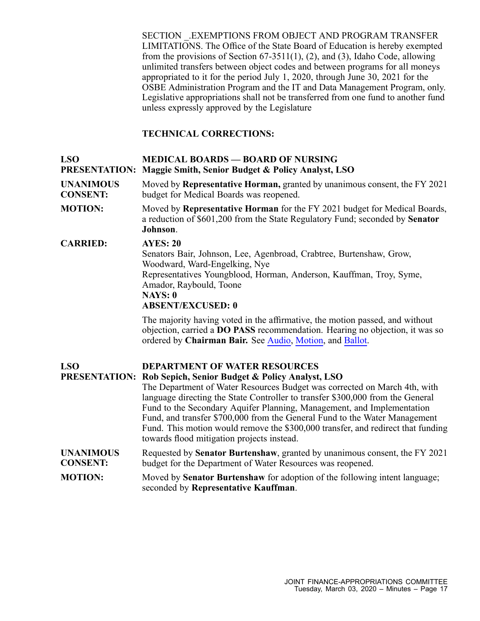SECTION \_.EXEMPTIONS FROM OBJECT AND PROGRAM TRANSFER LIMITATIONS. The Office of the State Board of Education is hereby exempted from the provisions of Section 67-3511(1), (2), and (3), Idaho Code, allowing unlimited transfers between object codes and between programs for all moneys appropriated to it for the period July 1, 2020, through June 30, 2021 for the OSBE Administration Program and the IT and Data Management Program, only. Legislative appropriations shall not be transferred from one fund to another fund unless expressly approved by the Legislature

## **TECHNICAL CORRECTIONS:**

| <b>LSO</b>                          | <b>MEDICAL BOARDS — BOARD OF NURSING</b><br><b>PRESENTATION: Maggie Smith, Senior Budget &amp; Policy Analyst, LSO</b>                                                                                                                                                                                                                                                                                                                                                                                                                                                    |
|-------------------------------------|---------------------------------------------------------------------------------------------------------------------------------------------------------------------------------------------------------------------------------------------------------------------------------------------------------------------------------------------------------------------------------------------------------------------------------------------------------------------------------------------------------------------------------------------------------------------------|
| <b>UNANIMOUS</b><br><b>CONSENT:</b> | Moved by Representative Horman, granted by unanimous consent, the FY 2021<br>budget for Medical Boards was reopened.                                                                                                                                                                                                                                                                                                                                                                                                                                                      |
| <b>MOTION:</b>                      | Moved by Representative Horman for the FY 2021 budget for Medical Boards,<br>a reduction of \$601,200 from the State Regulatory Fund; seconded by Senator<br>Johnson.                                                                                                                                                                                                                                                                                                                                                                                                     |
| <b>CARRIED:</b>                     | <b>AYES: 20</b><br>Senators Bair, Johnson, Lee, Agenbroad, Crabtree, Burtenshaw, Grow,<br>Woodward, Ward-Engelking, Nye<br>Representatives Youngblood, Horman, Anderson, Kauffman, Troy, Syme,<br>Amador, Raybould, Toone<br>NAYS: 0<br><b>ABSENT/EXCUSED: 0</b>                                                                                                                                                                                                                                                                                                          |
|                                     | The majority having voted in the affirmative, the motion passed, and without<br>objection, carried a DO PASS recommendation. Hearing no objection, it was so<br>ordered by Chairman Bair. See Audio, Motion, and Ballot.                                                                                                                                                                                                                                                                                                                                                  |
| <b>LSO</b>                          | <b>DEPARTMENT OF WATER RESOURCES</b><br><b>PRESENTATION: Rob Sepich, Senior Budget &amp; Policy Analyst, LSO</b><br>The Department of Water Resources Budget was corrected on March 4th, with<br>language directing the State Controller to transfer \$300,000 from the General<br>Fund to the Secondary Aquifer Planning, Management, and Implementation<br>Fund, and transfer \$700,000 from the General Fund to the Water Management<br>Fund. This motion would remove the \$300,000 transfer, and redirect that funding<br>towards flood mitigation projects instead. |
| <b>UNANIMOUS</b><br><b>CONSENT:</b> | Requested by Senator Burtenshaw, granted by unanimous consent, the FY 2021<br>budget for the Department of Water Resources was reopened.                                                                                                                                                                                                                                                                                                                                                                                                                                  |
| <b>MOTION:</b>                      | Moved by <b>Senator Burtenshaw</b> for adoption of the following intent language;<br>seconded by Representative Kauffman.                                                                                                                                                                                                                                                                                                                                                                                                                                                 |